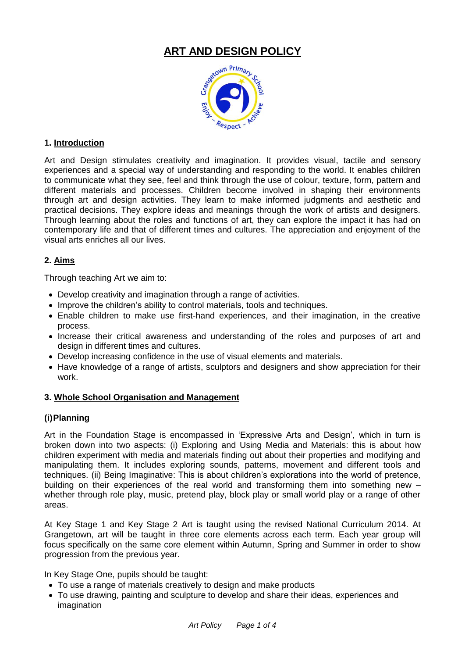

## **1. Introduction**

Art and Design stimulates creativity and imagination. It provides visual, tactile and sensory experiences and a special way of understanding and responding to the world. It enables children to communicate what they see, feel and think through the use of colour, texture, form, pattern and different materials and processes. Children become involved in shaping their environments through art and design activities. They learn to make informed judgments and aesthetic and practical decisions. They explore ideas and meanings through the work of artists and designers. Through learning about the roles and functions of art, they can explore the impact it has had on contemporary life and that of different times and cultures. The appreciation and enjoyment of the visual arts enriches all our lives.

# **2. Aims**

Through teaching Art we aim to:

- Develop creativity and imagination through a range of activities.
- Improve the children's ability to control materials, tools and techniques.
- Enable children to make use first-hand experiences, and their imagination, in the creative process.
- Increase their critical awareness and understanding of the roles and purposes of art and design in different times and cultures.
- Develop increasing confidence in the use of visual elements and materials.
- Have knowledge of a range of artists, sculptors and designers and show appreciation for their work.

#### **3. Whole School Organisation and Management**

# **(i)Planning**

Art in the Foundation Stage is encompassed in 'Expressive Arts and Design', which in turn is broken down into two aspects: (i) Exploring and Using Media and Materials: this is about how children experiment with media and materials finding out about their properties and modifying and manipulating them. It includes exploring sounds, patterns, movement and different tools and techniques. (ii) Being Imaginative: This is about children's explorations into the world of pretence, building on their experiences of the real world and transforming them into something new – whether through role play, music, pretend play, block play or small world play or a range of other areas.

At Key Stage 1 and Key Stage 2 Art is taught using the revised National Curriculum 2014. At Grangetown, art will be taught in three core elements across each term. Each year group will focus specifically on the same core element within Autumn, Spring and Summer in order to show progression from the previous year.

In Key Stage One, pupils should be taught:

- To use a range of materials creatively to design and make products
- To use drawing, painting and sculpture to develop and share their ideas, experiences and imagination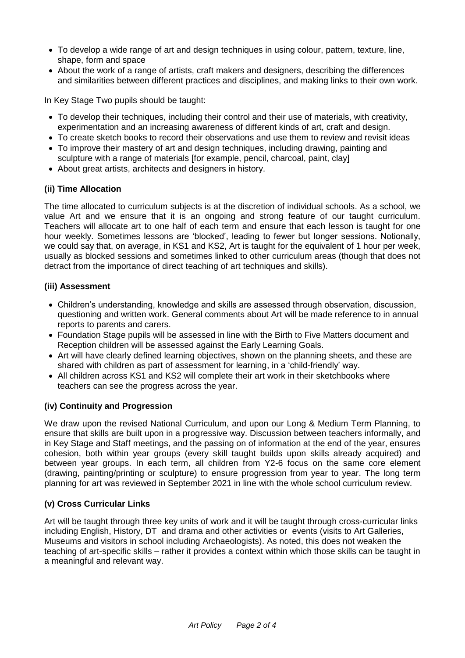- To develop a wide range of art and design techniques in using colour, pattern, texture, line, shape, form and space
- About the work of a range of artists, craft makers and designers, describing the differences and similarities between different practices and disciplines, and making links to their own work.

In Key Stage Two pupils should be taught:

- To develop their techniques, including their control and their use of materials, with creativity, experimentation and an increasing awareness of different kinds of art, craft and design.
- To create sketch books to record their observations and use them to review and revisit ideas
- To improve their mastery of art and design techniques, including drawing, painting and sculpture with a range of materials [for example, pencil, charcoal, paint, clay]
- About great artists, architects and designers in history.

# **(ii) Time Allocation**

The time allocated to curriculum subjects is at the discretion of individual schools. As a school, we value Art and we ensure that it is an ongoing and strong feature of our taught curriculum. Teachers will allocate art to one half of each term and ensure that each lesson is taught for one hour weekly. Sometimes lessons are 'blocked', leading to fewer but longer sessions. Notionally, we could say that, on average, in KS1 and KS2, Art is taught for the equivalent of 1 hour per week, usually as blocked sessions and sometimes linked to other curriculum areas (though that does not detract from the importance of direct teaching of art techniques and skills).

## **(iii) Assessment**

- Children's understanding, knowledge and skills are assessed through observation, discussion, questioning and written work. General comments about Art will be made reference to in annual reports to parents and carers.
- Foundation Stage pupils will be assessed in line with the Birth to Five Matters document and Reception children will be assessed against the Early Learning Goals.
- Art will have clearly defined learning objectives, shown on the planning sheets, and these are shared with children as part of assessment for learning, in a 'child-friendly' way.
- All children across KS1 and KS2 will complete their art work in their sketchbooks where teachers can see the progress across the year.

# **(iv) Continuity and Progression**

We draw upon the revised National Curriculum, and upon our Long & Medium Term Planning, to ensure that skills are built upon in a progressive way. Discussion between teachers informally, and in Key Stage and Staff meetings, and the passing on of information at the end of the year, ensures cohesion, both within year groups (every skill taught builds upon skills already acquired) and between year groups. In each term, all children from Y2-6 focus on the same core element (drawing, painting/printing or sculpture) to ensure progression from year to year. The long term planning for art was reviewed in September 2021 in line with the whole school curriculum review.

#### **(v) Cross Curricular Links**

Art will be taught through three key units of work and it will be taught through cross-curricular links including English, History, DT and drama and other activities or events (visits to Art Galleries, Museums and visitors in school including Archaeologists). As noted, this does not weaken the teaching of art-specific skills – rather it provides a context within which those skills can be taught in a meaningful and relevant way.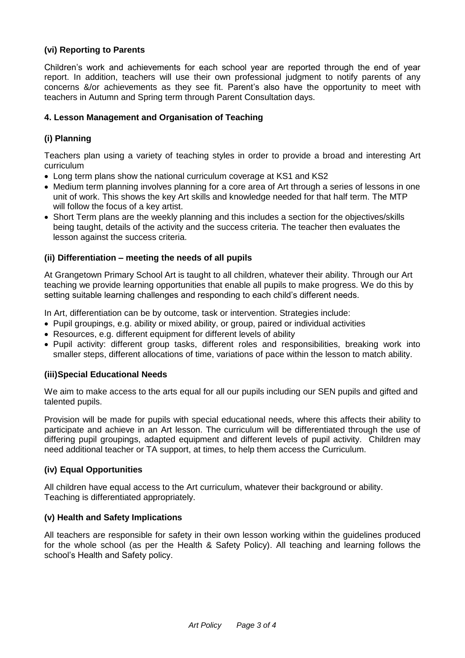## **(vi) Reporting to Parents**

Children's work and achievements for each school year are reported through the end of year report. In addition, teachers will use their own professional judgment to notify parents of any concerns &/or achievements as they see fit. Parent's also have the opportunity to meet with teachers in Autumn and Spring term through Parent Consultation days.

#### **4. Lesson Management and Organisation of Teaching**

## **(i) Planning**

Teachers plan using a variety of teaching styles in order to provide a broad and interesting Art curriculum

- Long term plans show the national curriculum coverage at KS1 and KS2
- Medium term planning involves planning for a core area of Art through a series of lessons in one unit of work. This shows the key Art skills and knowledge needed for that half term. The MTP will follow the focus of a key artist.
- Short Term plans are the weekly planning and this includes a section for the objectives/skills being taught, details of the activity and the success criteria. The teacher then evaluates the lesson against the success criteria.

#### **(ii) Differentiation – meeting the needs of all pupils**

At Grangetown Primary School Art is taught to all children, whatever their ability. Through our Art teaching we provide learning opportunities that enable all pupils to make progress. We do this by setting suitable learning challenges and responding to each child's different needs.

In Art, differentiation can be by outcome, task or intervention. Strategies include:

- Pupil groupings, e.g. ability or mixed ability, or group, paired or individual activities
- Resources, e.g. different equipment for different levels of ability
- Pupil activity: different group tasks, different roles and responsibilities, breaking work into smaller steps, different allocations of time, variations of pace within the lesson to match ability.

#### **(iii)Special Educational Needs**

We aim to make access to the arts equal for all our pupils including our SEN pupils and gifted and talented pupils.

Provision will be made for pupils with special educational needs, where this affects their ability to participate and achieve in an Art lesson. The curriculum will be differentiated through the use of differing pupil groupings, adapted equipment and different levels of pupil activity. Children may need additional teacher or TA support, at times, to help them access the Curriculum.

#### **(iv) Equal Opportunities**

All children have equal access to the Art curriculum, whatever their background or ability. Teaching is differentiated appropriately.

#### **(v) Health and Safety Implications**

All teachers are responsible for safety in their own lesson working within the guidelines produced for the whole school (as per the Health & Safety Policy). All teaching and learning follows the school's Health and Safety policy.